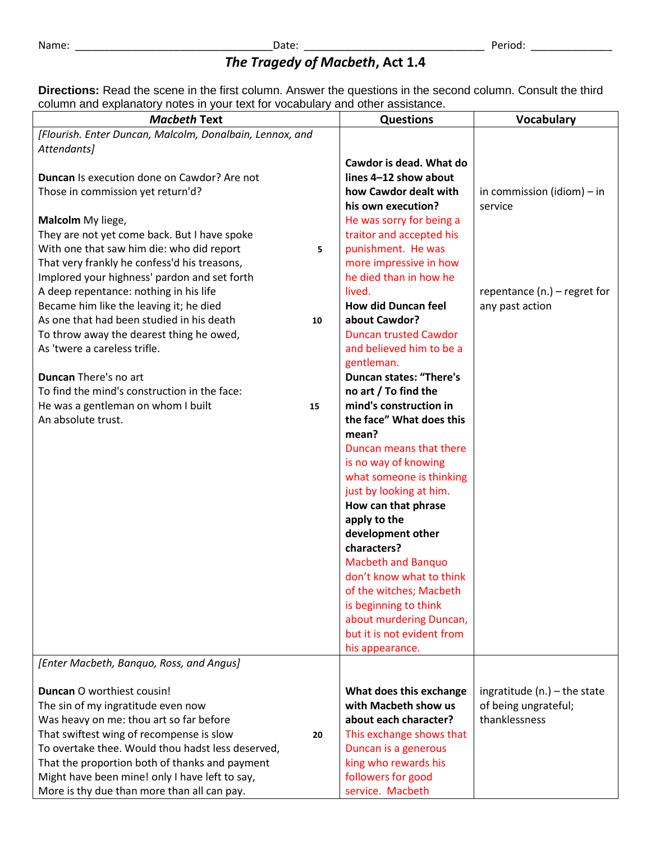## *The Tragedy of Macbeth***, Act 1.4**

**Directions:** Read the scene in the first column. Answer the questions in the second column. Consult the third column and explanatory notes in your text for vocabulary and other assistance.

| column and cxplanatory notes in your text for vocabulary and other assistance.<br><b>Macbeth Text</b> | <b>Questions</b>                                 | <b>Vocabulary</b>              |
|-------------------------------------------------------------------------------------------------------|--------------------------------------------------|--------------------------------|
| [Flourish. Enter Duncan, Malcolm, Donalbain, Lennox, and                                              |                                                  |                                |
| Attendants]                                                                                           |                                                  |                                |
|                                                                                                       | Cawdor is dead. What do                          |                                |
| Duncan Is execution done on Cawdor? Are not                                                           | lines 4-12 show about                            |                                |
| Those in commission yet return'd?                                                                     | how Cawdor dealt with                            | in commission (idiom) $-$ in   |
|                                                                                                       | his own execution?                               | service                        |
| Malcolm My liege,                                                                                     | He was sorry for being a                         |                                |
| They are not yet come back. But I have spoke                                                          | traitor and accepted his                         |                                |
| With one that saw him die: who did report                                                             | punishment. He was                               |                                |
| 5                                                                                                     |                                                  |                                |
| That very frankly he confess'd his treasons,                                                          | more impressive in how<br>he died than in how he |                                |
| Implored your highness' pardon and set forth                                                          |                                                  |                                |
| A deep repentance: nothing in his life                                                                | lived.                                           | repentance $(n.)$ – regret for |
| Became him like the leaving it; he died                                                               | <b>How did Duncan feel</b>                       | any past action                |
| As one that had been studied in his death<br>10                                                       | about Cawdor?                                    |                                |
| To throw away the dearest thing he owed,                                                              | <b>Duncan trusted Cawdor</b>                     |                                |
| As 'twere a careless trifle.                                                                          | and believed him to be a                         |                                |
|                                                                                                       | gentleman.                                       |                                |
| Duncan There's no art                                                                                 | <b>Duncan states: "There's</b>                   |                                |
| To find the mind's construction in the face:                                                          | no art / To find the                             |                                |
| He was a gentleman on whom I built<br>15                                                              | mind's construction in                           |                                |
| An absolute trust.                                                                                    | the face" What does this                         |                                |
|                                                                                                       | mean?                                            |                                |
|                                                                                                       | Duncan means that there                          |                                |
|                                                                                                       | is no way of knowing                             |                                |
|                                                                                                       | what someone is thinking                         |                                |
|                                                                                                       | just by looking at him.                          |                                |
|                                                                                                       | How can that phrase                              |                                |
|                                                                                                       | apply to the                                     |                                |
|                                                                                                       | development other                                |                                |
|                                                                                                       | characters?                                      |                                |
|                                                                                                       | <b>Macbeth and Banquo</b>                        |                                |
|                                                                                                       | don't know what to think                         |                                |
|                                                                                                       | of the witches; Macbeth                          |                                |
|                                                                                                       | is beginning to think                            |                                |
|                                                                                                       | about murdering Duncan,                          |                                |
|                                                                                                       | but it is not evident from                       |                                |
|                                                                                                       | his appearance.                                  |                                |
| [Enter Macbeth, Banquo, Ross, and Angus]                                                              |                                                  |                                |
|                                                                                                       |                                                  |                                |
| Duncan O worthiest cousin!                                                                            | What does this exchange                          | ingratitude (n.) $-$ the state |
| The sin of my ingratitude even now                                                                    | with Macbeth show us                             | of being ungrateful;           |
| Was heavy on me: thou art so far before                                                               | about each character?                            | thanklessness                  |
| That swiftest wing of recompense is slow<br>20                                                        | This exchange shows that                         |                                |
| To overtake thee. Would thou hadst less deserved,                                                     | Duncan is a generous                             |                                |
| That the proportion both of thanks and payment                                                        | king who rewards his                             |                                |
| Might have been mine! only I have left to say,                                                        | followers for good                               |                                |
| More is thy due than more than all can pay.                                                           | service. Macbeth                                 |                                |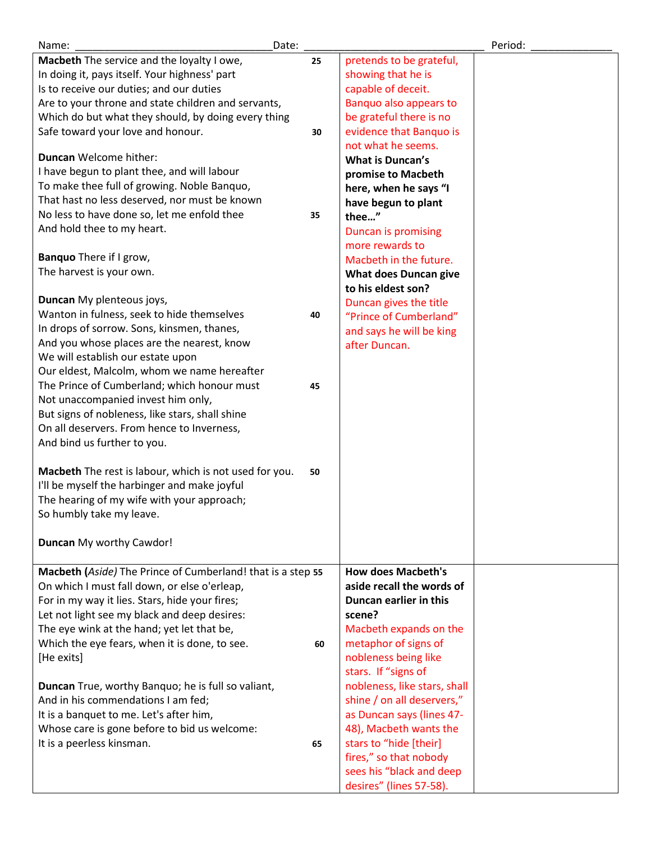| Date:<br>Name:                                              |    |                              | Period: |
|-------------------------------------------------------------|----|------------------------------|---------|
| Macbeth The service and the loyalty I owe,                  | 25 | pretends to be grateful,     |         |
| In doing it, pays itself. Your highness' part               |    | showing that he is           |         |
| Is to receive our duties; and our duties                    |    | capable of deceit.           |         |
| Are to your throne and state children and servants,         |    | Banquo also appears to       |         |
| Which do but what they should, by doing every thing         |    | be grateful there is no      |         |
| Safe toward your love and honour.                           | 30 | evidence that Banquo is      |         |
|                                                             |    | not what he seems.           |         |
| <b>Duncan Welcome hither:</b>                               |    | <b>What is Duncan's</b>      |         |
| I have begun to plant thee, and will labour                 |    | promise to Macbeth           |         |
| To make thee full of growing. Noble Banquo,                 |    |                              |         |
| That hast no less deserved, nor must be known               |    | here, when he says "I        |         |
| No less to have done so, let me enfold thee                 | 35 | have begun to plant          |         |
|                                                             |    | thee"                        |         |
| And hold thee to my heart.                                  |    | <b>Duncan is promising</b>   |         |
|                                                             |    | more rewards to              |         |
| Banquo There if I grow,                                     |    | Macbeth in the future.       |         |
| The harvest is your own.                                    |    | <b>What does Duncan give</b> |         |
|                                                             |    | to his eldest son?           |         |
| Duncan My plenteous joys,                                   |    | Duncan gives the title       |         |
| Wanton in fulness, seek to hide themselves                  | 40 | "Prince of Cumberland"       |         |
| In drops of sorrow. Sons, kinsmen, thanes,                  |    | and says he will be king     |         |
| And you whose places are the nearest, know                  |    | after Duncan.                |         |
| We will establish our estate upon                           |    |                              |         |
| Our eldest, Malcolm, whom we name hereafter                 |    |                              |         |
| The Prince of Cumberland; which honour must                 | 45 |                              |         |
| Not unaccompanied invest him only,                          |    |                              |         |
| But signs of nobleness, like stars, shall shine             |    |                              |         |
| On all deservers. From hence to Inverness,                  |    |                              |         |
| And bind us further to you.                                 |    |                              |         |
|                                                             |    |                              |         |
|                                                             |    |                              |         |
| Macbeth The rest is labour, which is not used for you.      | 50 |                              |         |
| I'll be myself the harbinger and make joyful                |    |                              |         |
| The hearing of my wife with your approach;                  |    |                              |         |
| So humbly take my leave.                                    |    |                              |         |
|                                                             |    |                              |         |
| Duncan My worthy Cawdor!                                    |    |                              |         |
|                                                             |    |                              |         |
| Macbeth (Aside) The Prince of Cumberland! that is a step 55 |    | <b>How does Macbeth's</b>    |         |
| On which I must fall down, or else o'erleap,                |    | aside recall the words of    |         |
| For in my way it lies. Stars, hide your fires;              |    | Duncan earlier in this       |         |
| Let not light see my black and deep desires:                |    | scene?                       |         |
| The eye wink at the hand; yet let that be,                  |    | Macbeth expands on the       |         |
| Which the eye fears, when it is done, to see.               | 60 | metaphor of signs of         |         |
| [He exits]                                                  |    | nobleness being like         |         |
|                                                             |    | stars. If "signs of          |         |
| <b>Duncan</b> True, worthy Banquo; he is full so valiant,   |    | nobleness, like stars, shall |         |
| And in his commendations I am fed;                          |    | shine / on all deservers,"   |         |
| It is a banquet to me. Let's after him,                     |    | as Duncan says (lines 47-    |         |
|                                                             |    |                              |         |
| Whose care is gone before to bid us welcome:                |    | 48), Macbeth wants the       |         |
| It is a peerless kinsman.                                   | 65 | stars to "hide [their]       |         |
|                                                             |    | fires," so that nobody       |         |
|                                                             |    | sees his "black and deep     |         |
|                                                             |    | desires" (lines 57-58).      |         |